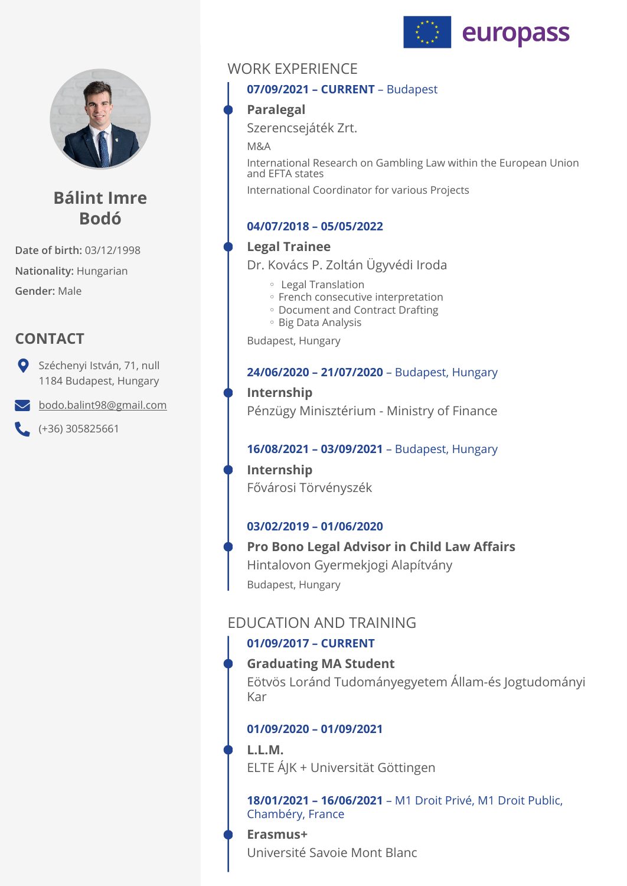



# **Bálint Imre Bodó**

**Date of birth:** 03/12/1998 **Nationality:** Hungarian **Gender:** Male

# **CONTACT**

Széchenyi István, 71, null 1184 Budapest, Hungary

[bodo.balint98@gmail.com](mailto:bodo.balint98@gmail.com)

 $( +36)$  305825661

# WORK EXPERIENCE

### **07/09/2021 – CURRENT** – Budapest

## **Paralegal**

Szerencsejáték Zrt.

M&A

International Research on Gambling Law within the European Union and EFTA states

International Coordinator for various Projects

## **04/07/2018 – 05/05/2022**

### **Legal Trainee**

Dr. Kovács P. Zoltán Ügyvédi Iroda

- Legal Translation ◦
- French consecutive interpretation
- Document and Contract Drafting
- Big Data Analysis ◦

Budapest, Hungary

### **24/06/2020 – 21/07/2020** – Budapest, Hungary

**Internship**  Pénzügy Minisztérium - Ministry of Finance

### **16/08/2021 – 03/09/2021** – Budapest, Hungary

**Internship**  Fővárosi Törvényszék

## **03/02/2019 – 01/06/2020**

Budapest, Hungary **Pro Bono Legal Advisor in Child Law Affairs**  Hintalovon Gyermekjogi Alapítvány

## EDUCATION AND TRAINING

## **01/09/2017 – CURRENT**

## **Graduating MA Student**

Eötvös Loránd Tudományegyetem Állam-és Jogtudományi Kar

## **01/09/2020 – 01/09/2021**

## **L.L.M.**

ELTE ÁJK + Universität Göttingen

**18/01/2021 – 16/06/2021** – M1 Droit Privé, M1 Droit Public, Chambéry, France

## **Erasmus+**  Université Savoie Mont Blanc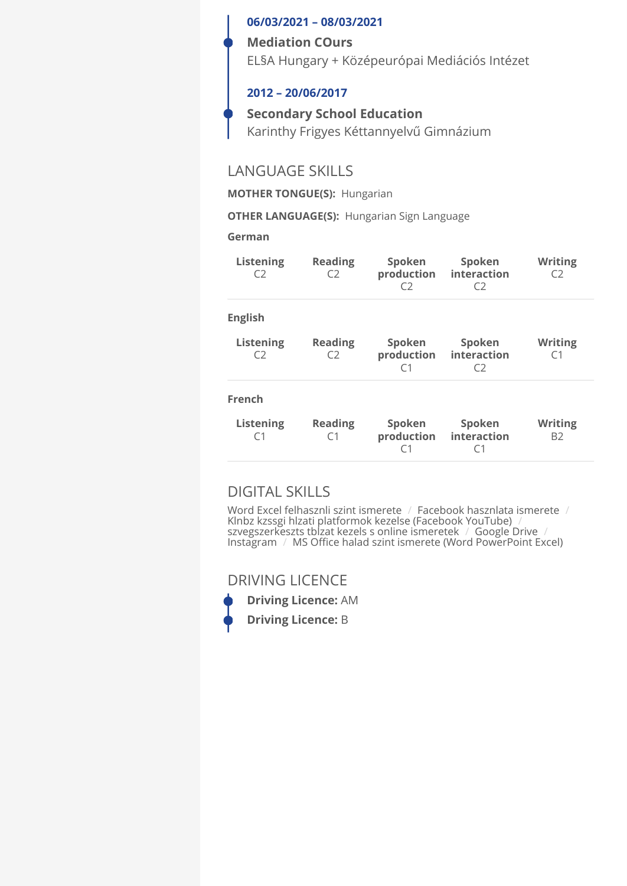#### **06/03/2021 – 08/03/2021**

#### **Mediation COurs**

EL§A Hungary + Középeurópai Mediációs Intézet

#### **2012 – 20/06/2017**

**Secondary School Education**  Karinthy Frigyes Kéttannyelvű Gimnázium

## LANGUAGE SKILLS

**MOTHER TONGUE(S):** Hungarian

**OTHER LANGUAGE(S):** Hungarian Sign Language

#### **German**

| <b>Listening</b><br>C <sub>2</sub> | <b>Reading</b><br>C <sub>2</sub> | Spoken<br>production<br>C2             | Spoken<br>interaction<br>C2 | <b>Writing</b><br>C <sub>2</sub> |
|------------------------------------|----------------------------------|----------------------------------------|-----------------------------|----------------------------------|
| <b>English</b>                     |                                  |                                        |                             |                                  |
| <b>Listening</b><br>C2             | <b>Reading</b><br>C <sub>2</sub> | Spoken<br>production<br>C <sub>1</sub> | Spoken<br>interaction<br>C2 | <b>Writing</b><br>C1             |
| French                             |                                  |                                        |                             |                                  |
| <b>Listening</b><br>C <sub>1</sub> | <b>Reading</b><br>C <sub>1</sub> | Spoken<br>production<br>C <sub>1</sub> | Spoken<br>interaction<br>C1 | <b>Writing</b><br>B2             |

## DIGITAL SKILLS

Word Excel felhasznli szint ismerete / Facebook hasznlata ismerete / Klnbz kzssgi hlzati platformok kezelse (Facebook YouTube) / szvegszerkeszts tblzat kezels s online ismeretek / Google Drive / Instagram / MS Office halad szint ismerete (Word PowerPoint Excel)

DRIVING LICENCE



**Driving Licence:** AM **Driving Licence:** B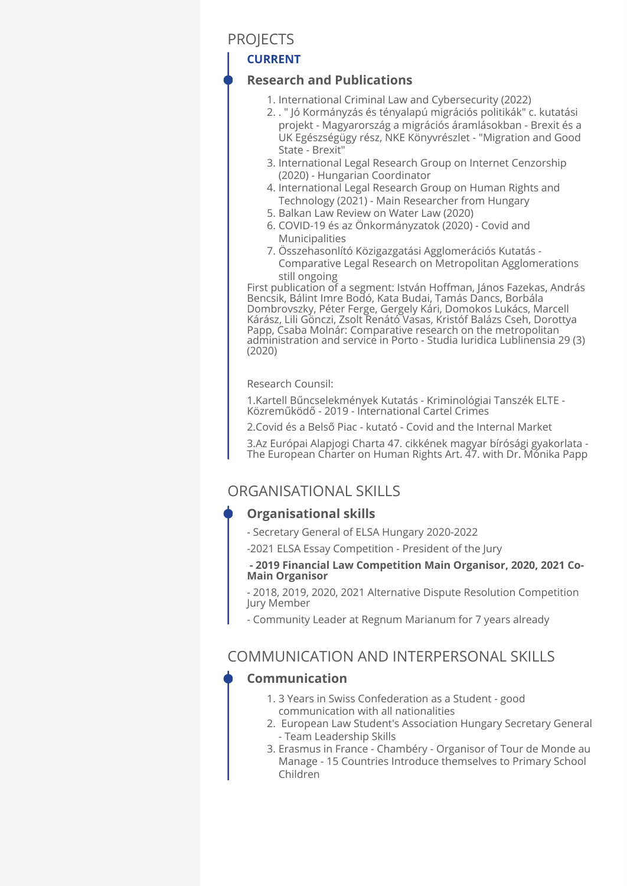## **PROJECTS**

## **CURRENT**

## **Research and Publications**

- 1. International Criminal Law and Cybersecurity (2022)
- . " Jó Kormányzás és tényalapú migrációs politikák" c. kutatási 2. projekt - Magyarország a migrációs áramlásokban - Brexit és a UK Egészségügy rész, NKE Könyvrészlet - "Migration and Good State - Brexit"
- 3. International Legal Research Group on Internet Cenzorship (2020) - Hungarian Coordinator
- 4. International Legal Research Group on Human Rights and Technology (2021) - Main Researcher from Hungary
- Balkan Law Review on Water Law (2020) 5.
- 6. COVID-19 és az Onkormányzatok (2020) Covid and Municipalities
- 7. Osszehasonlító Közigazgatási Agglomerációs Kutatás -Comparative Legal Research on Metropolitan Agglomerations still ongoing

First publication of a segment: István Hoffman, János Fazekas, András Bencsik, Bálint Imre Bodó, Kata Budai, Tamás Dancs, Borbála Dombrovszky, Péter Ferge, Gergely Kári, Domokos Lukács, Marcell Kárász, Lili Gönczi, Zsolt Renátó Vasas, Kristóf Balázs Cseh, Dorottya Papp, Csaba Molnár: Comparative research on the metropolitan administration and service in Porto - Studia Iuridica Lublinensia 29 (3) (2020)

Research Counsil:

1.Kartell Bűncselekmények Kutatás - Kriminológiai Tanszék ELTE - Közreműködő - 2019 - International Cartel Crimes

2.Covid és a Belső Piac - kutató - Covid and the Internal Market

3.Az Európai Alapjogi Charta 47. cikkének magyar bírósági gyakorlata - The European Charter on Human Rights Art. 47. with Dr. Mónika Papp

## ORGANISATIONAL SKILLS

#### **Organisational skills**

- Secretary General of ELSA Hungary 2020-2022
- -2021 ELSA Essay Competition President of the Jury

#### **- 2019 Financial Law Competition Main Organisor, 2020, 2021 Co-Main Organisor**

- 2018, 2019, 2020, 2021 Alternative Dispute Resolution Competition Jury Member

- Community Leader at Regnum Marianum for 7 years already

## COMMUNICATION AND INTERPERSONAL SKILLS

## **Communication**

- 3 Years in Swiss Confederation as a Student good 1. communication with all nationalities
- 2. European Law Student's Association Hungary Secretary General - Team Leadership Skills
- 3. Erasmus in France Chambéry Organisor of Tour de Monde au Manage - 15 Countries Introduce themselves to Primary School Children